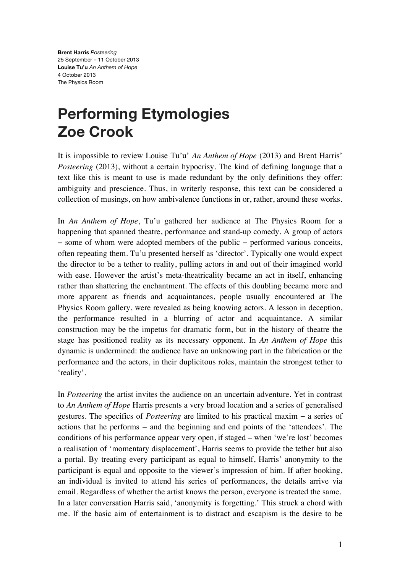**Brent Harris** *Posteering* 25 September – 11 October 2013 **Louise Tu'u** *An Anthem of Hope* 4 October 2013 The Physics Room

## **Performing Etymologies Zoe Crook**

It is impossible to review Louise Tu'u' *An Anthem of Hope* (2013) and Brent Harris' *Posteering* (2013), without a certain hypocrisy. The kind of defining language that a text like this is meant to use is made redundant by the only definitions they offer: ambiguity and prescience. Thus, in writerly response, this text can be considered a collection of musings, on how ambivalence functions in or, rather, around these works.

In *An Anthem of Hope*, Tu'u gathered her audience at The Physics Room for a happening that spanned theatre, performance and stand-up comedy. A group of actors − some of whom were adopted members of the public − performed various conceits, often repeating them. Tu'u presented herself as 'director'. Typically one would expect the director to be a tether to reality, pulling actors in and out of their imagined world with ease. However the artist's meta-theatricality became an act in itself, enhancing rather than shattering the enchantment. The effects of this doubling became more and more apparent as friends and acquaintances, people usually encountered at The Physics Room gallery, were revealed as being knowing actors. A lesson in deception, the performance resulted in a blurring of actor and acquaintance. A similar construction may be the impetus for dramatic form, but in the history of theatre the stage has positioned reality as its necessary opponent. In *An Anthem of Hope* this dynamic is undermined: the audience have an unknowing part in the fabrication or the performance and the actors, in their duplicitous roles, maintain the strongest tether to 'reality'.

In *Posteering* the artist invites the audience on an uncertain adventure. Yet in contrast to *An Anthem of Hope* Harris presents a very broad location and a series of generalised gestures. The specifics of *Posteering* are limited to his practical maxim − a series of actions that he performs − and the beginning and end points of the 'attendees'. The conditions of his performance appear very open, if staged – when 'we're lost' becomes a realisation of 'momentary displacement', Harris seems to provide the tether but also a portal. By treating every participant as equal to himself, Harris' anonymity to the participant is equal and opposite to the viewer's impression of him. If after booking, an individual is invited to attend his series of performances, the details arrive via email. Regardless of whether the artist knows the person, everyone is treated the same. In a later conversation Harris said, 'anonymity is forgetting.' This struck a chord with me. If the basic aim of entertainment is to distract and escapism is the desire to be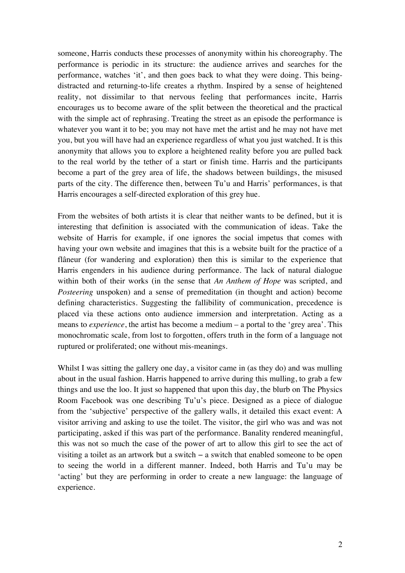someone, Harris conducts these processes of anonymity within his choreography. The performance is periodic in its structure: the audience arrives and searches for the performance, watches 'it', and then goes back to what they were doing. This beingdistracted and returning-to-life creates a rhythm. Inspired by a sense of heightened reality, not dissimilar to that nervous feeling that performances incite, Harris encourages us to become aware of the split between the theoretical and the practical with the simple act of rephrasing. Treating the street as an episode the performance is whatever you want it to be; you may not have met the artist and he may not have met you, but you will have had an experience regardless of what you just watched. It is this anonymity that allows you to explore a heightened reality before you are pulled back to the real world by the tether of a start or finish time. Harris and the participants become a part of the grey area of life, the shadows between buildings, the misused parts of the city. The difference then, between Tu'u and Harris' performances, is that Harris encourages a self-directed exploration of this grey hue.

From the websites of both artists it is clear that neither wants to be defined, but it is interesting that definition is associated with the communication of ideas. Take the website of Harris for example, if one ignores the social impetus that comes with having your own website and imagines that this is a website built for the practice of a flâneur (for wandering and exploration) then this is similar to the experience that Harris engenders in his audience during performance. The lack of natural dialogue within both of their works (in the sense that *An Anthem of Hope* was scripted, and *Posteering* unspoken) and a sense of premeditation (in thought and action) become defining characteristics. Suggesting the fallibility of communication, precedence is placed via these actions onto audience immersion and interpretation. Acting as a means to *experience*, the artist has become a medium – a portal to the 'grey area'. This monochromatic scale, from lost to forgotten, offers truth in the form of a language not ruptured or proliferated; one without mis-meanings.

Whilst I was sitting the gallery one day, a visitor came in (as they do) and was mulling about in the usual fashion. Harris happened to arrive during this mulling, to grab a few things and use the loo. It just so happened that upon this day, the blurb on The Physics Room Facebook was one describing Tu'u's piece. Designed as a piece of dialogue from the 'subjective' perspective of the gallery walls, it detailed this exact event: A visitor arriving and asking to use the toilet. The visitor, the girl who was and was not participating, asked if this was part of the performance. Banality rendered meaningful, this was not so much the case of the power of art to allow this girl to see the act of visiting a toilet as an artwork but a switch − a switch that enabled someone to be open to seeing the world in a different manner. Indeed, both Harris and Tu'u may be 'acting' but they are performing in order to create a new language: the language of experience.